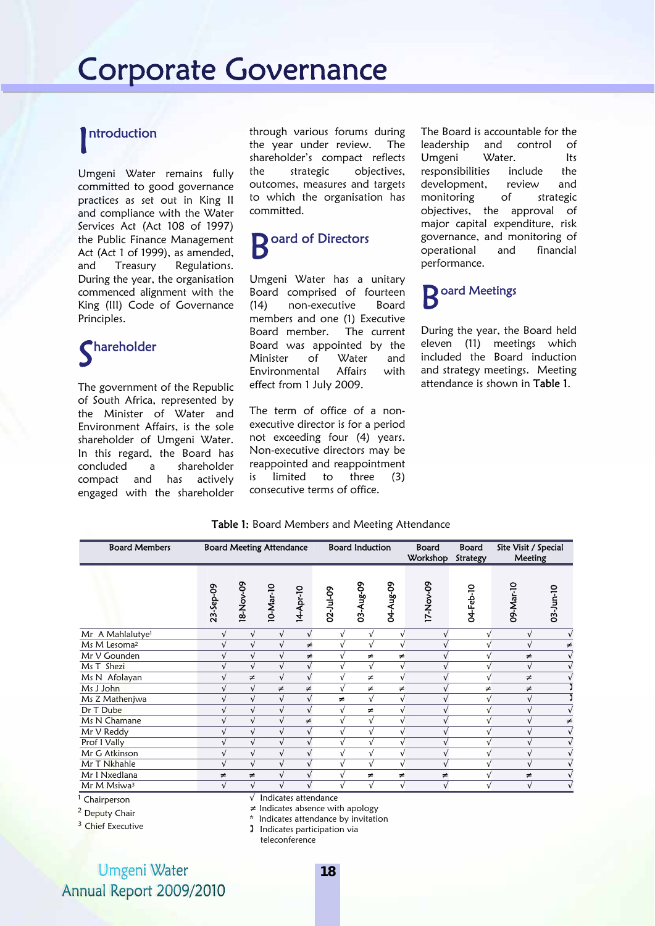### ntroduction I

Umgeni Water remains fully committed to good governance practices as set out in King II and compliance with the Water Services Act (Act 108 of 1997) the Public Finance Management Act (Act 1 of 1999), as amended, and Treasury Regulations. During the year, the organisation commenced alignment with the King (III) Code of Governance Principles.

# Shareholder

The government of the Republic of South Africa, represented by the Minister of Water and Environment Affairs, is the sole shareholder of Umgeni Water. In this regard, the Board has concluded a shareholder compact and has actively engaged with the shareholder

through various forums during the year under review. The shareholder's compact reflects the strategic objectives, outcomes, measures and targets to which the organisation has committed.

# **B** oard of Directors

Umgeni Water has a unitary Board comprised of fourteen (14) non-executive Board members and one (1) Executive Board member. The current Board was appointed by the Minister of Water and Environmental Affairs with effect from 1 July 2009.

The term of office of a nonexecutive director is for a period not exceeding four (4) years. Non-executive directors may be reappointed and reappointment is limited to three (3) consecutive terms of office.

The Board is accountable for the leadership and control of Umgeni Water. Its responsibilities include the development, review and monitoring of strategic objectives, the approval of major capital expenditure, risk governance, and monitoring of operational and financial performance.

### oard Meetings B<sup>or</sup>

During the year, the Board held eleven (11) meetings which included the Board induction and strategy meetings. Meeting attendance is shown in Table 1.

#### Table 1: Board Members and Meeting Attendance

| <b>Board Members</b>         |                                       |            | <b>Board Meeting Attendance</b> |            |             | <b>Board Induction</b> |             | <b>Board</b><br>Workshop | <b>Board</b><br><b>Strategy</b> | Site Visit / Special<br>Meeting |                 |
|------------------------------|---------------------------------------|------------|---------------------------------|------------|-------------|------------------------|-------------|--------------------------|---------------------------------|---------------------------------|-----------------|
|                              | 23-Sep-09                             | 18-Nov-09  | 10-Mar-10                       | 14-Apr-10  | 02-Jul-09   | 03-Aug-09              | 04-Aug-09   | 17-Nov-09                | 04-Feb-10                       | 09-Mar-10                       | $03 - Jun - 10$ |
| Mr A Mahlalutye <sup>1</sup> |                                       | $\sqrt{ }$ | $\sqrt{ }$                      | $\sqrt{ }$ | $\sqrt{ }$  | $\sqrt{ }$             | $\sqrt{ }$  |                          |                                 | $\sqrt{ }$                      |                 |
| Ms M Lesoma <sup>2</sup>     |                                       | $\sqrt{ }$ | $\sqrt{ }$                      | $\neq$     |             | $\sqrt{ }$             | $\sqrt{ }$  |                          |                                 |                                 | ≠               |
| Mr V Gounden                 |                                       | $\sqrt{ }$ | $\sqrt{ }$                      | $\neq$     |             | $\neq$                 | $\neq$      |                          |                                 | ≠                               |                 |
| Ms T Shezi                   |                                       | $\sqrt{ }$ | $\sqrt{}$                       | $\sqrt{}$  |             | $\sqrt{ }$             | $\sqrt{ }$  |                          |                                 | $\sqrt{ }$                      |                 |
| Ms N Afolayan                |                                       | ≠          | $\sqrt{ }$                      | $\sqrt{ }$ |             | $\neq$                 | $\sqrt{ }$  |                          |                                 | $\neq$                          |                 |
| Ms J John                    |                                       | $\sqrt{ }$ | ≠                               | $\neq$     |             | $\neq$                 | ≠           |                          | $\neq$                          | ≠                               |                 |
| Ms Z Mathenjwa               |                                       | $\sqrt{ }$ | $\sqrt{ }$                      | $\sqrt{ }$ | $\neq$      | $\sqrt{ }$             | $\sqrt{ }$  | $\sqrt{ }$               |                                 | $\sqrt{ }$                      |                 |
| Dr T Dube                    |                                       | $\sqrt{ }$ | $\sqrt{ }$                      | $\sqrt{ }$ |             | $\neq$                 | $\sqrt{ }$  |                          |                                 |                                 |                 |
| Ms N Chamane                 |                                       | $\sqrt{ }$ | $\sqrt{}$                       | ≠          | $\mathbf v$ | $\sqrt{}$              | V           |                          |                                 |                                 | ≠               |
| Mr V Reddy                   |                                       | $\sqrt{ }$ | $\sqrt{ }$                      | $\sqrt{ }$ |             | $\sqrt{}$              | $\mathbf v$ |                          |                                 |                                 |                 |
| Prof I Vally                 |                                       | $\sqrt{ }$ | $\sqrt{ }$                      | $\sqrt{ }$ |             | $\sqrt{}$              | $\sqrt{ }$  |                          |                                 |                                 |                 |
| Mr G Atkinson                |                                       | $\sqrt{}$  | $\sqrt{ }$                      | v          |             | $\sqrt{ }$             | $\sqrt{ }$  |                          |                                 |                                 |                 |
| Mr T Nkhahle                 |                                       | $\sqrt{}$  | $\sqrt{ }$                      | $\sqrt{ }$ |             | $\sqrt{ }$             | $\sqrt{ }$  |                          |                                 | $\sqrt{}$                       |                 |
| Mr I Nxedlana                | ≠                                     | ≠          | $\sqrt{ }$                      | $\sqrt{ }$ |             | $\neq$                 | ≠           | ≠                        |                                 | ≠                               |                 |
| Mr M Msiwa <sup>3</sup>      | $\sqrt{ }$                            | $\sqrt{ }$ |                                 |            |             | $\sqrt{}$              | $\sqrt{ }$  | $\sqrt{}$                |                                 | $\sqrt{}$                       |                 |
| Chairperson                  |                                       | $\sqrt{ }$ | Indicates attendance            |            |             |                        |             |                          |                                 |                                 |                 |
| $2$ Dopt to $C$ bois         | $\neq$ Indicates absence with apology |            |                                 |            |             |                        |             |                          |                                 |                                 |                 |

<sup>2</sup> Deputy Chair

<sup>3</sup> Chief Executive

\* Indicates attendance by invitation

Indicates participation via

teleconference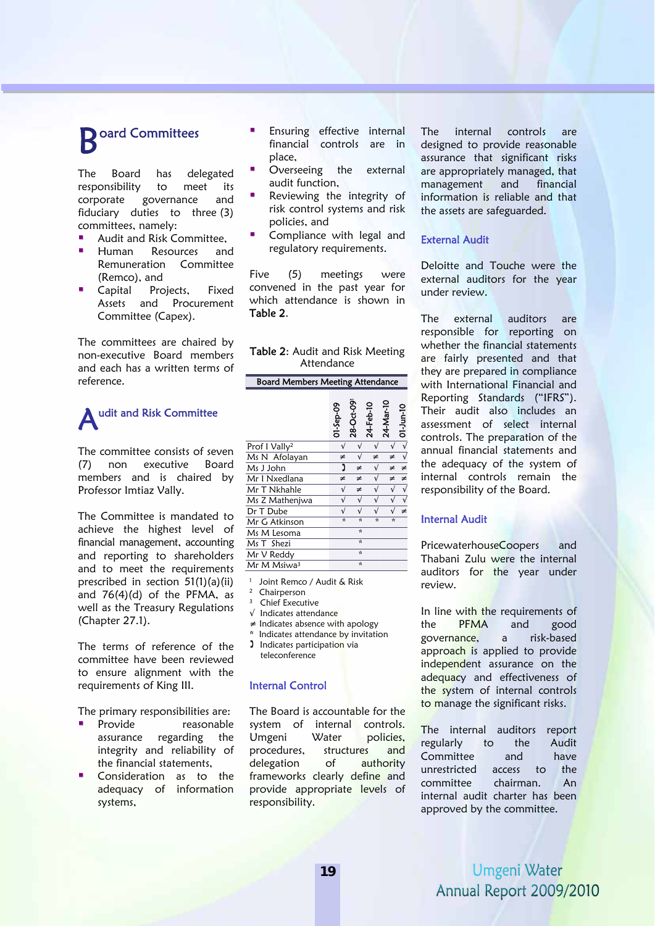# **B** oard Committees

The Board has delegated responsibility to meet its corporate governance and fiduciary duties to three (3) committees, namely:

- Audit and Risk Committee,
- Human Resources and Remuneration Committee (Remco), and
- Capital Projects, Fixed Assets and Procurement Committee (Capex).

The committees are chaired by non-executive Board members and each has a written terms of reference.

## A udit and Risk Committee

The committee consists of seven (7) non executive Board members and is chaired by Professor Imtiaz Vally.

The Committee is mandated to achieve the highest level of financial management, accounting and reporting to shareholders and to meet the requirements prescribed in section 51(1)(a)(ii) and  $76(4)(d)$  of the PFMA, as well as the Treasury Regulations (Chapter 27.1).

The terms of reference of the committee have been reviewed to ensure alignment with the requirements of King III.

The primary responsibilities are:

- Provide reasonable assurance regarding the integrity and reliability of the financial statements,
- Consideration as to the adequacy of information systems,
- Ensuring effective internal financial controls are in place,
- Overseeing the external audit function,
- Reviewing the integrity of risk control systems and risk policies, and
- Compliance with legal and regulatory requirements.

Five (5) meetings were convened in the past year for which attendance is shown in Table 2.

|            |  | Table 2: Audit and Risk Meeting |
|------------|--|---------------------------------|
| Attendance |  |                                 |

### Board Members Meeting Attendance

|                           | 01-Sep-09    | 28-Oct-091   | 24-Feb-10    | 24-Mar-10    | 01-Jun-10 |
|---------------------------|--------------|--------------|--------------|--------------|-----------|
| Prof I Vally <sup>2</sup> |              |              |              |              |           |
| Ms N Afolayan             | ≠            |              | ≠            | ≠            |           |
| Ms J John                 | ງ            | ≠            | $\sqrt{}$    | ≠            |           |
| Mr I Nxedlana             | ≠            | ≠            | $\sqrt{}$    | ≠            | ≠         |
| Mr T Nkhahle              |              | ≠            | $\checkmark$ |              |           |
| Ms Z Mathenjwa            |              | $\sqrt{ }$   | $\sqrt{}$    |              |           |
| Dr T Dube                 |              |              |              |              | $\neq$    |
| Mr G Atkinson             | $\mathbf{x}$ | $\mathbf{r}$ | $\mathbf{r}$ | $\mathbf{r}$ |           |
| Ms M Lesoma               |              | $\mathbf{x}$ |              |              |           |
| Ms T Shezi                |              | $\mathbf{x}$ |              |              |           |
| Mr V Reddy                |              | $\star$      |              |              |           |
| Mr M Msiwa <sup>3</sup>   |              | $\mathbf{x}$ |              |              |           |

<sup>1</sup> Joint Remco / Audit & Risk<br><sup>2</sup> Chairperson

- 
- Chief Executive
- √ Indicates attendance
- ≠ Indicates absence with apology
- Indicates attendance by invitation **I** Indicates participation via teleconference

#### Internal Control

The Board is accountable for the system of internal controls. Umgeni Water policies, procedures, structures and delegation of authority frameworks clearly define and provide appropriate levels of responsibility.

The internal controls are designed to provide reasonable assurance that significant risks are appropriately managed, that management and financial information is reliable and that the assets are safeguarded.

#### External Audit

Deloitte and Touche were the external auditors for the year under review.

The external auditors are responsible for reporting on whether the financial statements are fairly presented and that they are prepared in compliance with International Financial and Reporting Standards ("IFRS"). Their audit also includes an assessment of select internal controls. The preparation of the annual financial statements and the adequacy of the system of internal controls remain the responsibility of the Board.

#### Internal Audit

PricewaterhouseCoopers and Thabani Zulu were the internal auditors for the year under review.

In line with the requirements of the PFMA and good governance, a risk-based approach is applied to provide independent assurance on the adequacy and effectiveness of the system of internal controls to manage the significant risks.

The internal auditors report regularly to the Audit Committee and have unrestricted access to the committee chairman. An internal audit charter has been approved by the committee.

## Umgeni Water Annual Report 2009/2010